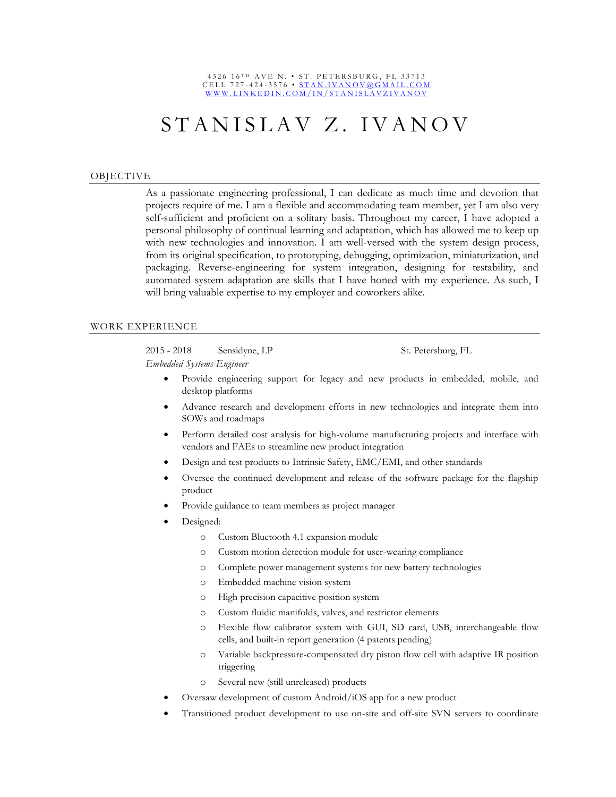#### 4326 16TH AVE N. • ST. PETERSBURG, FL 33713 C E L L 727-424-3576 • STAN. IVANOV @ G M A I L. COM WWW.LINKEDIN.COM/IN/STANISLAVZIVANOV

# STANISLAV Z. IVANOV

#### OBJECTIVE

As a passionate engineering professional, I can dedicate as much time and devotion that projects require of me. I am a flexible and accommodating team member, yet I am also very self-sufficient and proficient on a solitary basis. Throughout my career, I have adopted a personal philosophy of continual learning and adaptation, which has allowed me to keep up with new technologies and innovation. I am well-versed with the system design process, from its original specification, to prototyping, debugging, optimization, miniaturization, and packaging. Reverse-engineering for system integration, designing for testability, and automated system adaptation are skills that I have honed with my experience. As such, I will bring valuable expertise to my employer and coworkers alike.

#### WORK EXPERIENCE

2015 - 2018 Sensidyne, LP St. Petersburg, FL *Embedded Systems Engineer*

- Provide engineering support for legacy and new products in embedded, mobile, and desktop platforms
- Advance research and development efforts in new technologies and integrate them into SOWs and roadmaps
- Perform detailed cost analysis for high-volume manufacturing projects and interface with vendors and FAEs to streamline new product integration
- Design and test products to Intrinsic Safety, EMC/EMI, and other standards
- Oversee the continued development and release of the software package for the flagship product
- Provide guidance to team members as project manager
- Designed:
	- o Custom Bluetooth 4.1 expansion module
	- o Custom motion detection module for user-wearing compliance
	- o Complete power management systems for new battery technologies
	- o Embedded machine vision system
	- o High precision capacitive position system
	- o Custom fluidic manifolds, valves, and restrictor elements
	- o Flexible flow calibrator system with GUI, SD card, USB, interchangeable flow cells, and built-in report generation (4 patents pending)
	- o Variable backpressure-compensated dry piston flow cell with adaptive IR position triggering
	- o Several new (still unreleased) products
- Oversaw development of custom Android/iOS app for a new product
- Transitioned product development to use on-site and off-site SVN servers to coordinate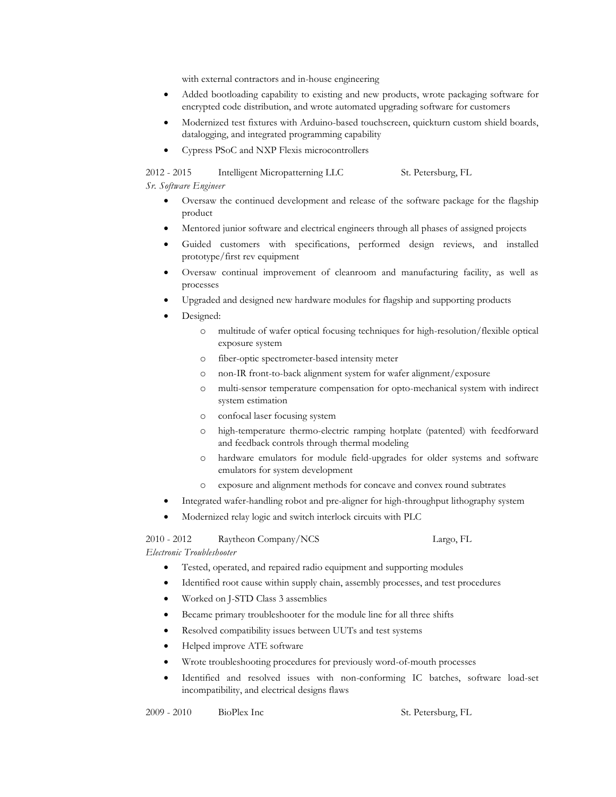with external contractors and in-house engineering

- Added bootloading capability to existing and new products, wrote packaging software for encrypted code distribution, and wrote automated upgrading software for customers
- Modernized test fixtures with Arduino-based touchscreen, quickturn custom shield boards, datalogging, and integrated programming capability
- Cypress PSoC and NXP Flexis microcontrollers

2012 - 2015 Intelligent Micropatterning LLC St. Petersburg, FL

*Sr. Software Engineer*

- Oversaw the continued development and release of the software package for the flagship product
- Mentored junior software and electrical engineers through all phases of assigned projects
- Guided customers with specifications, performed design reviews, and installed prototype/first rev equipment
- Oversaw continual improvement of cleanroom and manufacturing facility, as well as processes
- Upgraded and designed new hardware modules for flagship and supporting products
- Designed:
	- o multitude of wafer optical focusing techniques for high-resolution/flexible optical exposure system
	- o fiber-optic spectrometer-based intensity meter
	- o non-IR front-to-back alignment system for wafer alignment/exposure
	- o multi-sensor temperature compensation for opto-mechanical system with indirect system estimation
	- o confocal laser focusing system
	- o high-temperature thermo-electric ramping hotplate (patented) with feedforward and feedback controls through thermal modeling
	- o hardware emulators for module field-upgrades for older systems and software emulators for system development
	- o exposure and alignment methods for concave and convex round subtrates
- Integrated wafer-handling robot and pre-aligner for high-throughput lithography system
- Modernized relay logic and switch interlock circuits with PLC

# 2010 - 2012 Raytheon Company/NCS Largo, FL

*Electronic Troubleshooter*

- Tested, operated, and repaired radio equipment and supporting modules
- Identified root cause within supply chain, assembly processes, and test procedures
- Worked on J-STD Class 3 assemblies
- Became primary troubleshooter for the module line for all three shifts
- Resolved compatibility issues between UUTs and test systems
- Helped improve ATE software
- Wrote troubleshooting procedures for previously word-of-mouth processes
- Identified and resolved issues with non-conforming IC batches, software load-set incompatibility, and electrical designs flaws

2009 - 2010 BioPlex Inc St. Petersburg, FL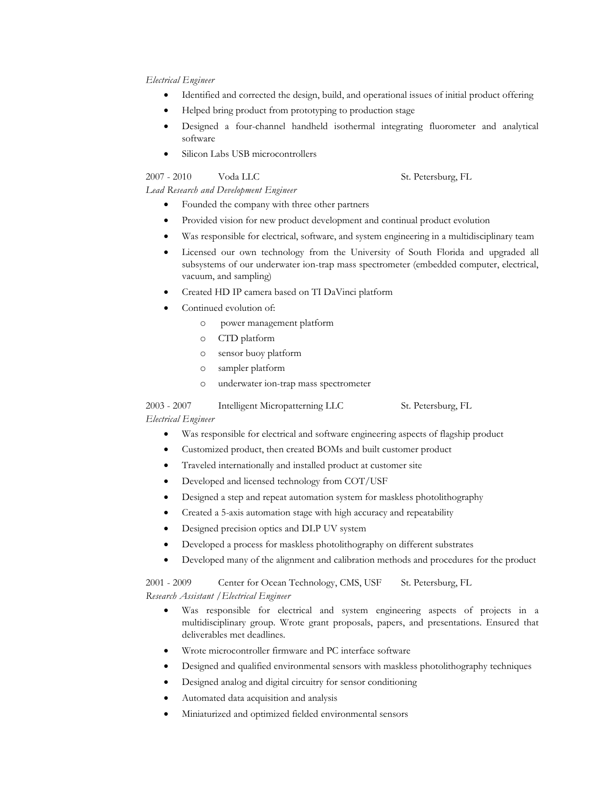### *Electrical Engineer*

- Identified and corrected the design, build, and operational issues of initial product offering
- Helped bring product from prototyping to production stage
- Designed a four-channel handheld isothermal integrating fluorometer and analytical software
- Silicon Labs USB microcontrollers

2007 - 2010 Voda LLC St. Petersburg, FL

### *Lead Research and Development Engineer*

- Founded the company with three other partners
- Provided vision for new product development and continual product evolution
- Was responsible for electrical, software, and system engineering in a multidisciplinary team
- Licensed our own technology from the University of South Florida and upgraded all subsystems of our underwater ion-trap mass spectrometer (embedded computer, electrical, vacuum, and sampling)
- Created HD IP camera based on TI DaVinci platform
- Continued evolution of:
	- o power management platform
	- o CTD platform
	- o sensor buoy platform
	- o sampler platform
	- o underwater ion-trap mass spectrometer

2003 - 2007 Intelligent Micropatterning LLC St. Petersburg, FL *Electrical Engineer*

- Was responsible for electrical and software engineering aspects of flagship product
- Customized product, then created BOMs and built customer product
- Traveled internationally and installed product at customer site
- Developed and licensed technology from COT/USF
- Designed a step and repeat automation system for maskless photolithography
- Created a 5-axis automation stage with high accuracy and repeatability
- Designed precision optics and DLP UV system
- Developed a process for maskless photolithography on different substrates
- Developed many of the alignment and calibration methods and procedures for the product

2001 - 2009 Center for Ocean Technology, CMS, USF St. Petersburg, FL *Research Assistant /Electrical Engineer*

- Was responsible for electrical and system engineering aspects of projects in a multidisciplinary group. Wrote grant proposals, papers, and presentations. Ensured that deliverables met deadlines.
- Wrote microcontroller firmware and PC interface software
- Designed and qualified environmental sensors with maskless photolithography techniques
- Designed analog and digital circuitry for sensor conditioning
- Automated data acquisition and analysis
- Miniaturized and optimized fielded environmental sensors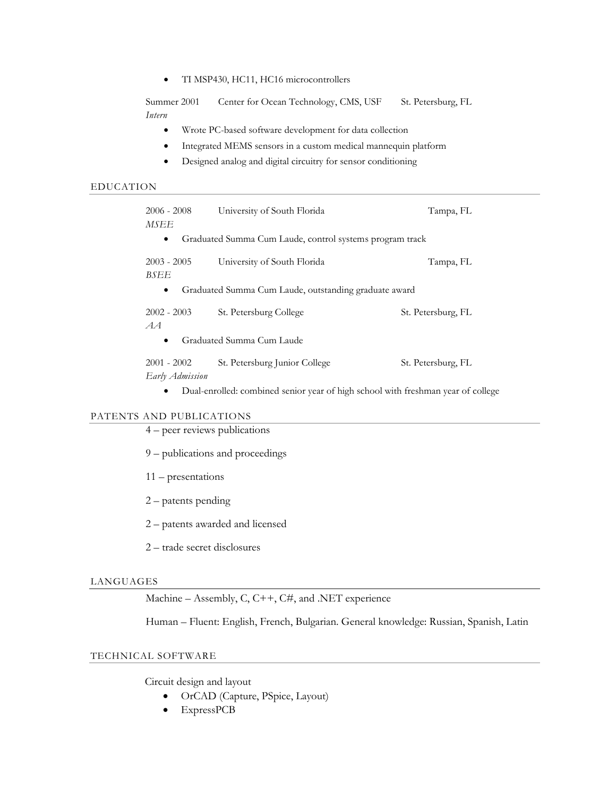• TI MSP430, HC11, HC16 microcontrollers

Summer 2001 Center for Ocean Technology, CMS, USF St. Petersburg, FL *Intern*

- Wrote PC-based software development for data collection
- Integrated MEMS sensors in a custom medical mannequin platform
- Designed analog and digital circuitry for sensor conditioning

#### EDUCATION

| $2006 - 2008$                                                         | University of South Florida   | Tampa, FL          |
|-----------------------------------------------------------------------|-------------------------------|--------------------|
| MSEE                                                                  |                               |                    |
| Graduated Summa Cum Laude, control systems program track<br>$\bullet$ |                               |                    |
| $2003 - 2005$<br>BSEE                                                 | University of South Florida   | Tampa, FL          |
| Graduated Summa Cum Laude, outstanding graduate award<br>$\bullet$    |                               |                    |
| $2002 - 2003$<br>AA                                                   | St. Petersburg College        | St. Petersburg, FL |
| Graduated Summa Cum Laude<br>$\bullet$                                |                               |                    |
| $2001 - 2002$<br>Early Admission                                      | St. Petersburg Junior College | St. Petersburg, FL |

Dual-enrolled: combined senior year of high school with freshman year of college

# PATENTS AND PUBLICATIONS

- 4 peer reviews publications
- 9 publications and proceedings
- 11 presentations
- 2 patents pending
- 2 patents awarded and licensed
- 2 trade secret disclosures

#### LANGUAGES

Machine – Assembly, C, C++, C#, and .NET experience

Human – Fluent: English, French, Bulgarian. General knowledge: Russian, Spanish, Latin

# TECHNICAL SOFTWARE

Circuit design and layout

- OrCAD (Capture, PSpice, Layout)
- ExpressPCB